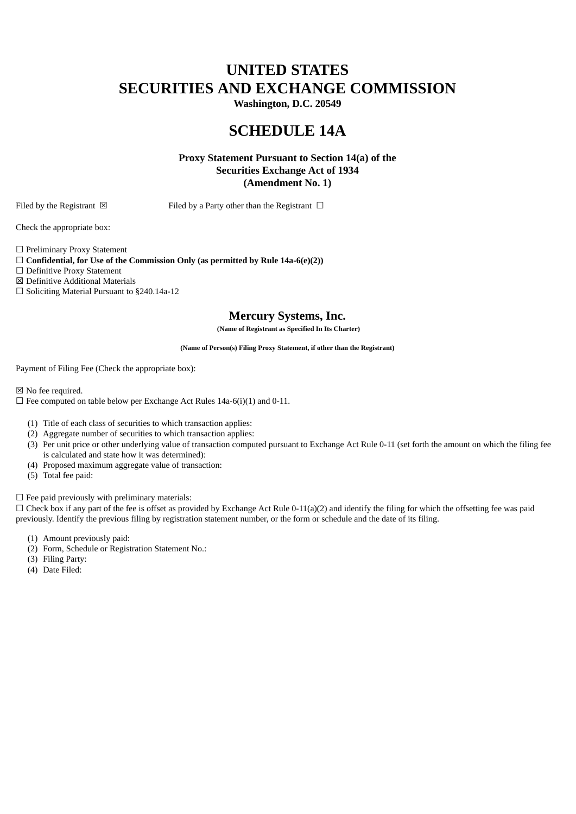# **UNITED STATES SECURITIES AND EXCHANGE COMMISSION**

**Washington, D.C. 20549**

## **SCHEDULE 14A**

**Proxy Statement Pursuant to Section 14(a) of the Securities Exchange Act of 1934 (Amendment No. 1)**

Filed by the Registrant  $\boxtimes$  Filed by a Party other than the Registrant  $\Box$ 

Check the appropriate box:

☐ Preliminary Proxy Statement

☐ **Confidential, for Use of the Commission Only (as permitted by Rule 14a-6(e)(2))**

☐ Definitive Proxy Statement

☒ Definitive Additional Materials

☐ Soliciting Material Pursuant to §240.14a-12

### **Mercury Systems, Inc.**

**(Name of Registrant as Specified In Its Charter)**

**(Name of Person(s) Filing Proxy Statement, if other than the Registrant)**

Payment of Filing Fee (Check the appropriate box):

☒ No fee required.

 $\Box$  Fee computed on table below per Exchange Act Rules 14a-6(i)(1) and 0-11.

- (1) Title of each class of securities to which transaction applies:
- (2) Aggregate number of securities to which transaction applies:
- (3) Per unit price or other underlying value of transaction computed pursuant to Exchange Act Rule 0-11 (set forth the amount on which the filing fee is calculated and state how it was determined):
- (4) Proposed maximum aggregate value of transaction:
- (5) Total fee paid:

 $\Box$  Fee paid previously with preliminary materials:

 $\Box$  Check box if any part of the fee is offset as provided by Exchange Act Rule 0-11(a)(2) and identify the filing for which the offsetting fee was paid previously. Identify the previous filing by registration statement number, or the form or schedule and the date of its filing.

- (1) Amount previously paid:
- (2) Form, Schedule or Registration Statement No.:
- (3) Filing Party:
- (4) Date Filed: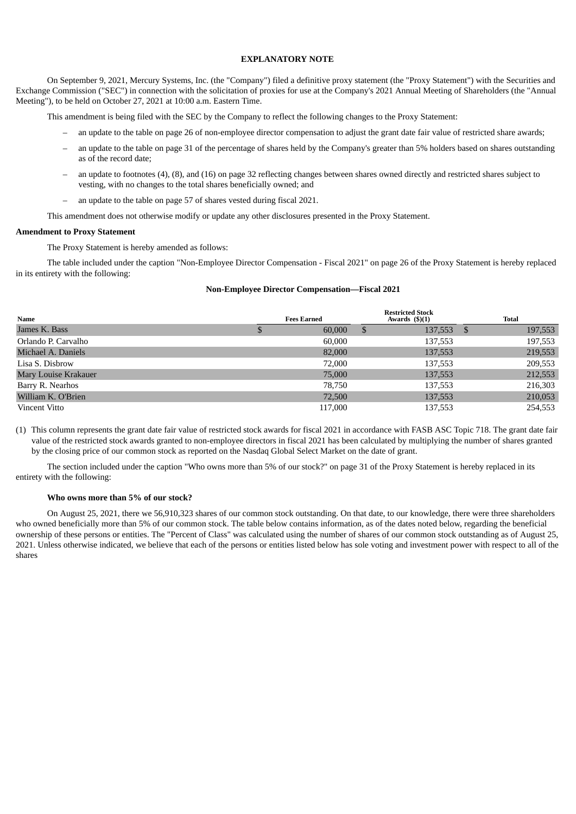#### **EXPLANATORY NOTE**

On September 9, 2021, Mercury Systems, Inc. (the "Company") filed a definitive proxy statement (the "Proxy Statement") with the Securities and Exchange Commission ("SEC") in connection with the solicitation of proxies for use at the Company's 2021 Annual Meeting of Shareholders (the "Annual Meeting"), to be held on October 27, 2021 at 10:00 a.m. Eastern Time.

This amendment is being filed with the SEC by the Company to reflect the following changes to the Proxy Statement:

- an update to the table on page 26 of non-employee director compensation to adjust the grant date fair value of restricted share awards;
- an update to the table on page 31 of the percentage of shares held by the Company's greater than 5% holders based on shares outstanding as of the record date;
- an update to footnotes (4), (8), and (16) on page 32 reflecting changes between shares owned directly and restricted shares subject to vesting, with no changes to the total shares beneficially owned; and
- an update to the table on page 57 of shares vested during fiscal 2021.

This amendment does not otherwise modify or update any other disclosures presented in the Proxy Statement.

#### **Amendment to Proxy Statement**

The Proxy Statement is hereby amended as follows:

The table included under the caption "Non-Employee Director Compensation - Fiscal 2021" on page 26 of the Proxy Statement is hereby replaced in its entirety with the following:

#### **Non-Employee Director Compensation—Fiscal 2021**

| Name                        | <b>Fees Earned</b> | <b>Restricted Stock</b><br>Awards $(\text{\$})(1)$ | <b>Total</b> |
|-----------------------------|--------------------|----------------------------------------------------|--------------|
| James K. Bass               | 60,000             | 137,553 \$<br>-S                                   | 197,553      |
| Orlando P. Carvalho         | 60,000             | 137,553                                            | 197,553      |
| Michael A. Daniels          | 82,000             | 137,553                                            | 219,553      |
| Lisa S. Disbrow             | 72,000             | 137,553                                            | 209,553      |
| <b>Mary Louise Krakauer</b> | 75,000             | 137,553                                            | 212,553      |
| Barry R. Nearhos            | 78,750             | 137,553                                            | 216,303      |
| William K. O'Brien          | 72,500             | 137,553                                            | 210,053      |
| Vincent Vitto               | 117,000            | 137,553                                            | 254,553      |

(1) This column represents the grant date fair value of restricted stock awards for fiscal 2021 in accordance with FASB ASC Topic 718. The grant date fair value of the restricted stock awards granted to non-employee directors in fiscal 2021 has been calculated by multiplying the number of shares granted by the closing price of our common stock as reported on the Nasdaq Global Select Market on the date of grant.

The section included under the caption "Who owns more than 5% of our stock?" on page 31 of the Proxy Statement is hereby replaced in its entirety with the following:

#### **Who owns more than 5% of our stock?**

On August 25, 2021, there we 56,910,323 shares of our common stock outstanding. On that date, to our knowledge, there were three shareholders who owned beneficially more than 5% of our common stock. The table below contains information, as of the dates noted below, regarding the beneficial ownership of these persons or entities. The "Percent of Class" was calculated using the number of shares of our common stock outstanding as of August 25, 2021. Unless otherwise indicated, we believe that each of the persons or entities listed below has sole voting and investment power with respect to all of the shares